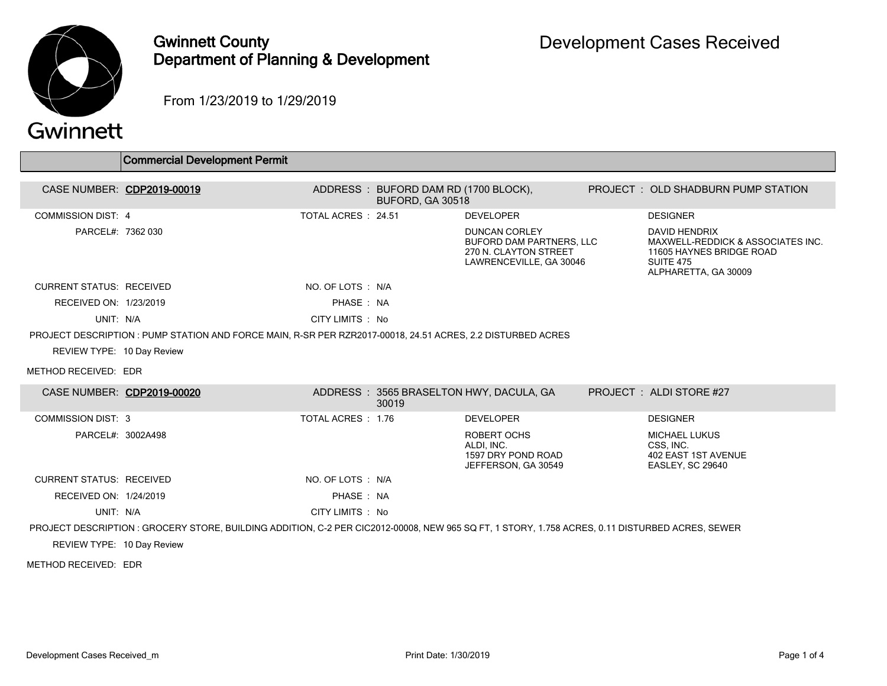

### Gwinnett County Department of Planning & Development

From 1/23/2019 to 1/29/2019

# Gwinnett

|                                 | Commercial Development Permit                                                                                                                   |                     |                                                          |                                                                                                             |                                                                                                                                   |
|---------------------------------|-------------------------------------------------------------------------------------------------------------------------------------------------|---------------------|----------------------------------------------------------|-------------------------------------------------------------------------------------------------------------|-----------------------------------------------------------------------------------------------------------------------------------|
|                                 |                                                                                                                                                 |                     |                                                          |                                                                                                             |                                                                                                                                   |
| CASE NUMBER: CDP2019-00019      |                                                                                                                                                 |                     | ADDRESS: BUFORD DAM RD (1700 BLOCK),<br>BUFORD, GA 30518 |                                                                                                             | <b>PROJECT : OLD SHADBURN PUMP STATION</b>                                                                                        |
| <b>COMMISSION DIST: 4</b>       |                                                                                                                                                 | TOTAL ACRES : 24.51 |                                                          | <b>DEVELOPER</b>                                                                                            | <b>DESIGNER</b>                                                                                                                   |
| PARCEL#: 7362 030               |                                                                                                                                                 |                     |                                                          | <b>DUNCAN CORLEY</b><br><b>BUFORD DAM PARTNERS, LLC</b><br>270 N. CLAYTON STREET<br>LAWRENCEVILLE, GA 30046 | <b>DAVID HENDRIX</b><br>MAXWELL-REDDICK & ASSOCIATES INC.<br>11605 HAYNES BRIDGE ROAD<br><b>SUITE 475</b><br>ALPHARETTA, GA 30009 |
| <b>CURRENT STATUS: RECEIVED</b> |                                                                                                                                                 | NO. OF LOTS : N/A   |                                                          |                                                                                                             |                                                                                                                                   |
| RECEIVED ON: 1/23/2019          |                                                                                                                                                 | PHASE: NA           |                                                          |                                                                                                             |                                                                                                                                   |
| UNIT: N/A                       |                                                                                                                                                 | CITY LIMITS : No    |                                                          |                                                                                                             |                                                                                                                                   |
|                                 | PROJECT DESCRIPTION : PUMP STATION AND FORCE MAIN, R-SR PER RZR2017-00018, 24.51 ACRES, 2.2 DISTURBED ACRES                                     |                     |                                                          |                                                                                                             |                                                                                                                                   |
| REVIEW TYPE: 10 Day Review      |                                                                                                                                                 |                     |                                                          |                                                                                                             |                                                                                                                                   |
| METHOD RECEIVED: EDR            |                                                                                                                                                 |                     |                                                          |                                                                                                             |                                                                                                                                   |
| CASE NUMBER: CDP2019-00020      |                                                                                                                                                 |                     | 30019                                                    | ADDRESS: 3565 BRASELTON HWY, DACULA, GA                                                                     | PROJECT: ALDI STORE #27                                                                                                           |
| <b>COMMISSION DIST: 3</b>       |                                                                                                                                                 | TOTAL ACRES : 1.76  |                                                          | <b>DEVELOPER</b>                                                                                            | <b>DESIGNER</b>                                                                                                                   |
| PARCEL#: 3002A498               |                                                                                                                                                 |                     |                                                          | ROBERT OCHS<br>ALDI. INC.<br>1597 DRY POND ROAD<br>JEFFERSON, GA 30549                                      | <b>MICHAEL LUKUS</b><br>CSS. INC.<br>402 EAST 1ST AVENUE<br><b>EASLEY, SC 29640</b>                                               |
| <b>CURRENT STATUS: RECEIVED</b> |                                                                                                                                                 | NO. OF LOTS : N/A   |                                                          |                                                                                                             |                                                                                                                                   |
| RECEIVED ON: 1/24/2019          |                                                                                                                                                 | PHASE: NA           |                                                          |                                                                                                             |                                                                                                                                   |
| UNIT: N/A                       |                                                                                                                                                 | CITY LIMITS : No    |                                                          |                                                                                                             |                                                                                                                                   |
|                                 | PROJECT DESCRIPTION : GROCERY STORE, BUILDING ADDITION, C-2 PER CIC2012-00008, NEW 965 SQ FT, 1 STORY, 1.758 ACRES, 0.11 DISTURBED ACRES, SEWER |                     |                                                          |                                                                                                             |                                                                                                                                   |
| REVIEW TYPE: 10 Day Review      |                                                                                                                                                 |                     |                                                          |                                                                                                             |                                                                                                                                   |

METHOD RECEIVED: EDR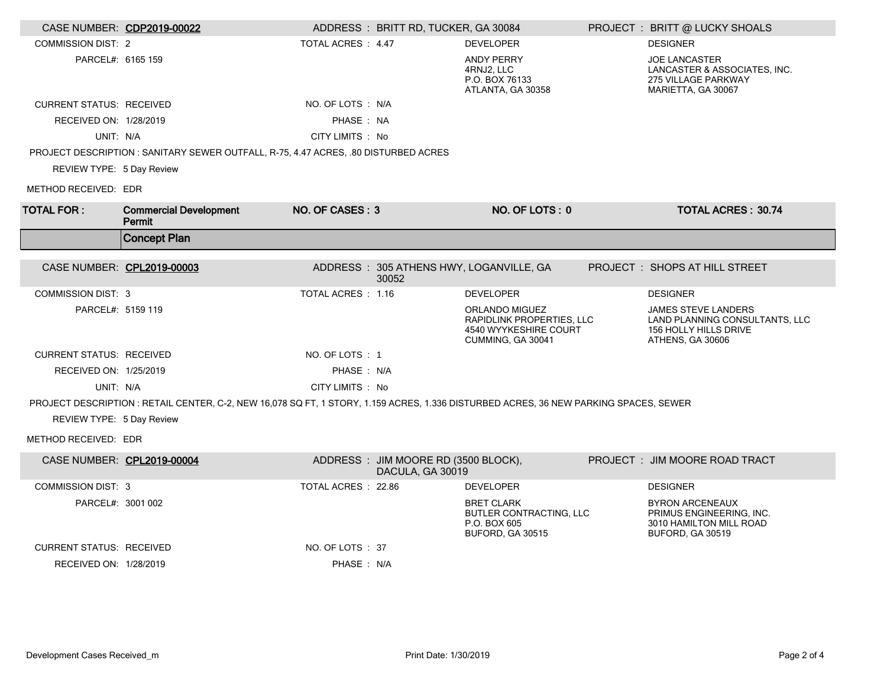| CASE NUMBER: CDP2019-00022      |                                                                                                                                       |                    | ADDRESS: BRITT RD, TUCKER, GA 30084                      |                                                                                                         | PROJECT : BRITT @ LUCKY SHOALS                                                                            |
|---------------------------------|---------------------------------------------------------------------------------------------------------------------------------------|--------------------|----------------------------------------------------------|---------------------------------------------------------------------------------------------------------|-----------------------------------------------------------------------------------------------------------|
| <b>COMMISSION DIST: 2</b>       |                                                                                                                                       | TOTAL ACRES : 4.47 |                                                          | <b>DEVELOPER</b>                                                                                        | <b>DESIGNER</b>                                                                                           |
| PARCEL#: 6165 159               |                                                                                                                                       |                    |                                                          | <b>ANDY PERRY</b><br>4RNJ2, LLC<br>P.O. BOX 76133<br>ATLANTA, GA 30358                                  | <b>JOE LANCASTER</b><br>LANCASTER & ASSOCIATES, INC.<br>275 VILLAGE PARKWAY<br>MARIETTA, GA 30067         |
| <b>CURRENT STATUS: RECEIVED</b> |                                                                                                                                       | NO. OF LOTS : N/A  |                                                          |                                                                                                         |                                                                                                           |
| RECEIVED ON: 1/28/2019          |                                                                                                                                       | PHASE: NA          |                                                          |                                                                                                         |                                                                                                           |
| UNIT: N/A                       |                                                                                                                                       | CITY LIMITS : No   |                                                          |                                                                                                         |                                                                                                           |
|                                 | PROJECT DESCRIPTION : SANITARY SEWER OUTFALL, R-75, 4.47 ACRES, .80 DISTURBED ACRES                                                   |                    |                                                          |                                                                                                         |                                                                                                           |
| REVIEW TYPE: 5 Day Review       |                                                                                                                                       |                    |                                                          |                                                                                                         |                                                                                                           |
| METHOD RECEIVED: EDR            |                                                                                                                                       |                    |                                                          |                                                                                                         |                                                                                                           |
| <b>TOTAL FOR:</b>               | <b>Commercial Development</b><br>Permit                                                                                               | NO. OF CASES: 3    |                                                          | NO. OF LOTS: 0                                                                                          | <b>TOTAL ACRES: 30.74</b>                                                                                 |
|                                 | <b>Concept Plan</b>                                                                                                                   |                    |                                                          |                                                                                                         |                                                                                                           |
| CASE NUMBER: CPL2019-00003      |                                                                                                                                       |                    | 30052                                                    | ADDRESS: 305 ATHENS HWY, LOGANVILLE, GA                                                                 | PROJECT : SHOPS AT HILL STREET                                                                            |
| <b>COMMISSION DIST: 3</b>       |                                                                                                                                       | TOTAL ACRES: 1.16  |                                                          | <b>DEVELOPER</b>                                                                                        | <b>DESIGNER</b>                                                                                           |
| PARCEL#: 5159 119               |                                                                                                                                       |                    |                                                          | <b>ORLANDO MIGUEZ</b><br><b>RAPIDLINK PROPERTIES, LLC</b><br>4540 WYYKESHIRE COURT<br>CUMMING, GA 30041 | <b>JAMES STEVE LANDERS</b><br>LAND PLANNING CONSULTANTS, LLC<br>156 HOLLY HILLS DRIVE<br>ATHENS, GA 30606 |
| <b>CURRENT STATUS: RECEIVED</b> |                                                                                                                                       | NO. OF LOTS: 1     |                                                          |                                                                                                         |                                                                                                           |
| RECEIVED ON: 1/25/2019          |                                                                                                                                       | PHASE: N/A         |                                                          |                                                                                                         |                                                                                                           |
| UNIT: N/A                       |                                                                                                                                       | CITY LIMITS : No   |                                                          |                                                                                                         |                                                                                                           |
| REVIEW TYPE: 5 Day Review       | PROJECT DESCRIPTION : RETAIL CENTER, C-2, NEW 16,078 SQ FT, 1 STORY, 1.159 ACRES, 1.336 DISTURBED ACRES, 36 NEW PARKING SPACES, SEWER |                    |                                                          |                                                                                                         |                                                                                                           |
| METHOD RECEIVED: EDR            |                                                                                                                                       |                    |                                                          |                                                                                                         |                                                                                                           |
| CASE NUMBER: CPL2019-00004      |                                                                                                                                       |                    | ADDRESS : JIM MOORE RD (3500 BLOCK),<br>DACULA, GA 30019 |                                                                                                         | PROJECT : JIM MOORE ROAD TRACT                                                                            |
| <b>COMMISSION DIST: 3</b>       |                                                                                                                                       | TOTAL ACRES: 22.86 |                                                          | <b>DEVELOPER</b>                                                                                        | <b>DESIGNER</b>                                                                                           |
| PARCEL#: 3001 002               |                                                                                                                                       |                    |                                                          | <b>BRET CLARK</b><br><b>BUTLER CONTRACTING, LLC</b><br>P.O. BOX 605<br>BUFORD, GA 30515                 | <b>BYRON ARCENEAUX</b><br>PRIMUS ENGINEERING, INC.<br>3010 HAMILTON MILL ROAD<br>BUFORD, GA 30519         |
| <b>CURRENT STATUS: RECEIVED</b> |                                                                                                                                       | NO. OF LOTS: 37    |                                                          |                                                                                                         |                                                                                                           |
| RECEIVED ON: 1/28/2019          |                                                                                                                                       | PHASE: N/A         |                                                          |                                                                                                         |                                                                                                           |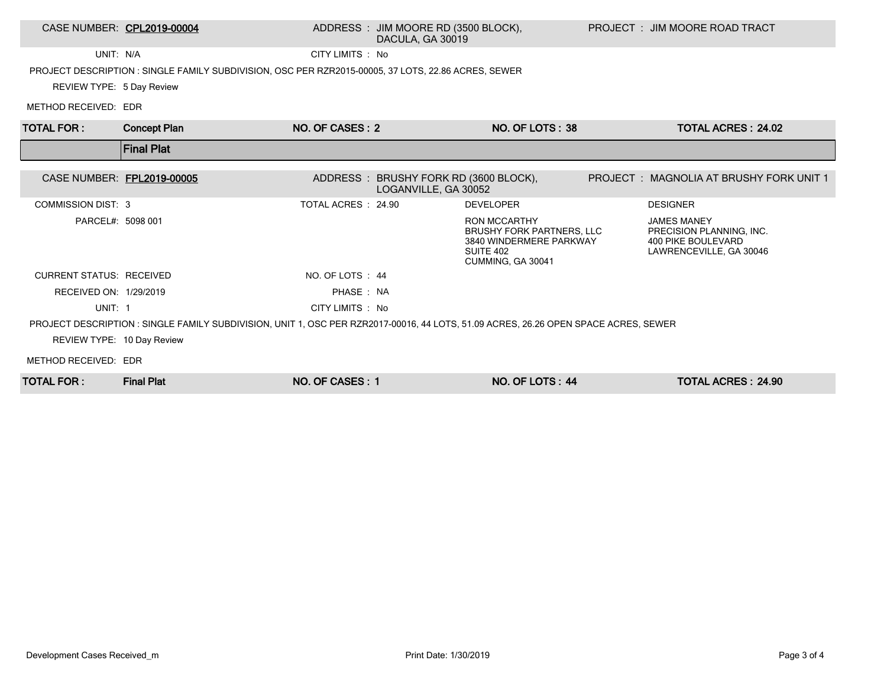### CASE NUMBER: CPL2019-00004 ADDRESS : JIM MOORE RD (3500 BLOCK), DACULA, GA 30019

UNIT: N/A CITY LIMITS : No

PROJECT DESCRIPTION : SINGLE FAMILY SUBDIVISION, OSC PER RZR2015-00005, 37 LOTS, 22.86 ACRES, SEWER

REVIEW TYPE: 5 Day Review

METHOD RECEIVED: EDR

| <b>TOTAL FOR:</b>               | <b>Concept Plan</b>                                                                                                                 | NO. OF CASES: 2     |                                                               | NO. OF LOTS: 38                                                                                               | <b>TOTAL ACRES: 24.02</b>                                                                       |
|---------------------------------|-------------------------------------------------------------------------------------------------------------------------------------|---------------------|---------------------------------------------------------------|---------------------------------------------------------------------------------------------------------------|-------------------------------------------------------------------------------------------------|
|                                 | <b>Final Plat</b>                                                                                                                   |                     |                                                               |                                                                                                               |                                                                                                 |
| CASE NUMBER: FPL2019-00005      |                                                                                                                                     |                     | ADDRESS: BRUSHY FORK RD (3600 BLOCK),<br>LOGANVILLE, GA 30052 |                                                                                                               | PROJECT: MAGNOLIA AT BRUSHY FORK UNIT 1                                                         |
| <b>COMMISSION DIST: 3</b>       |                                                                                                                                     | TOTAL ACRES : 24.90 |                                                               | <b>DEVELOPER</b>                                                                                              | <b>DESIGNER</b>                                                                                 |
| PARCEL#: 5098 001               |                                                                                                                                     |                     |                                                               | <b>RON MCCARTHY</b><br>BRUSHY FORK PARTNERS, LLC<br>3840 WINDERMERE PARKWAY<br>SUITE 402<br>CUMMING, GA 30041 | <b>JAMES MANEY</b><br>PRECISION PLANNING, INC.<br>400 PIKE BOULEVARD<br>LAWRENCEVILLE, GA 30046 |
| <b>CURRENT STATUS: RECEIVED</b> |                                                                                                                                     | NO. OF LOTS: 44     |                                                               |                                                                                                               |                                                                                                 |
| RECEIVED ON: 1/29/2019          |                                                                                                                                     | PHASE: NA           |                                                               |                                                                                                               |                                                                                                 |
| UNIT: 1                         |                                                                                                                                     | CITY LIMITS : No    |                                                               |                                                                                                               |                                                                                                 |
|                                 | PROJECT DESCRIPTION : SINGLE FAMILY SUBDIVISION, UNIT 1, OSC PER RZR2017-00016, 44 LOTS, 51.09 ACRES, 26.26 OPEN SPACE ACRES, SEWER |                     |                                                               |                                                                                                               |                                                                                                 |
| REVIEW TYPE: 10 Day Review      |                                                                                                                                     |                     |                                                               |                                                                                                               |                                                                                                 |
| METHOD RECEIVED: EDR            |                                                                                                                                     |                     |                                                               |                                                                                                               |                                                                                                 |
| <b>TOTAL FOR:</b>               | <b>Final Plat</b>                                                                                                                   | NO. OF CASES: 1     |                                                               | NO. OF LOTS: 44                                                                                               | <b>TOTAL ACRES: 24.90</b>                                                                       |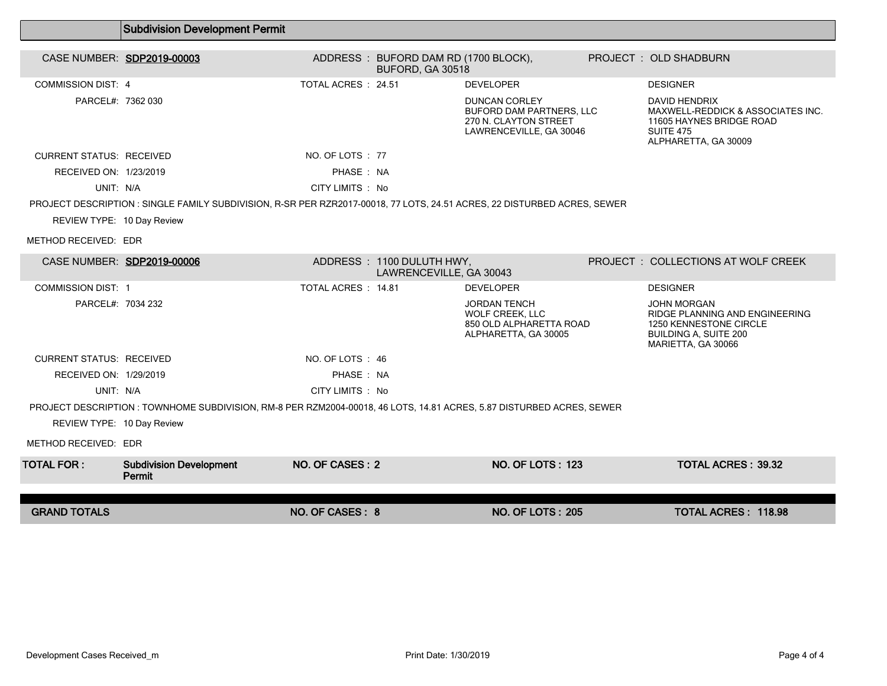|                                 | <b>Subdivision Development Permit</b>                                                                                    |                     |                                                      |                                                                                                             |                                                                                                                                      |  |
|---------------------------------|--------------------------------------------------------------------------------------------------------------------------|---------------------|------------------------------------------------------|-------------------------------------------------------------------------------------------------------------|--------------------------------------------------------------------------------------------------------------------------------------|--|
|                                 | CASE NUMBER: SDP2019-00003                                                                                               |                     | ADDRESS: BUFORD DAM RD (1700 BLOCK),                 |                                                                                                             | PROJECT : OLD SHADBURN                                                                                                               |  |
|                                 |                                                                                                                          |                     | BUFORD, GA 30518                                     |                                                                                                             |                                                                                                                                      |  |
| <b>COMMISSION DIST: 4</b>       |                                                                                                                          | TOTAL ACRES : 24.51 |                                                      | <b>DEVELOPER</b>                                                                                            | <b>DESIGNER</b>                                                                                                                      |  |
| PARCEL#: 7362 030               |                                                                                                                          |                     |                                                      | <b>DUNCAN CORLEY</b><br><b>BUFORD DAM PARTNERS, LLC</b><br>270 N. CLAYTON STREET<br>LAWRENCEVILLE, GA 30046 | DAVID HENDRIX<br>MAXWELL-REDDICK & ASSOCIATES INC.<br>11605 HAYNES BRIDGE ROAD<br><b>SUITE 475</b><br>ALPHARETTA, GA 30009           |  |
| <b>CURRENT STATUS: RECEIVED</b> |                                                                                                                          | NO. OF LOTS : 77    |                                                      |                                                                                                             |                                                                                                                                      |  |
| RECEIVED ON: 1/23/2019          |                                                                                                                          | PHASE: NA           |                                                      |                                                                                                             |                                                                                                                                      |  |
| UNIT: N/A                       |                                                                                                                          | CITY LIMITS : No    |                                                      |                                                                                                             |                                                                                                                                      |  |
|                                 | PROJECT DESCRIPTION : SINGLE FAMILY SUBDIVISION, R-SR PER RZR2017-00018, 77 LOTS, 24.51 ACRES, 22 DISTURBED ACRES, SEWER |                     |                                                      |                                                                                                             |                                                                                                                                      |  |
| REVIEW TYPE: 10 Day Review      |                                                                                                                          |                     |                                                      |                                                                                                             |                                                                                                                                      |  |
| METHOD RECEIVED: EDR            |                                                                                                                          |                     |                                                      |                                                                                                             |                                                                                                                                      |  |
| CASE NUMBER: SDP2019-00006      |                                                                                                                          |                     | ADDRESS: 1100 DULUTH HWY,<br>LAWRENCEVILLE, GA 30043 |                                                                                                             | PROJECT : COLLECTIONS AT WOLF CREEK                                                                                                  |  |
| <b>COMMISSION DIST: 1</b>       |                                                                                                                          | TOTAL ACRES: 14.81  |                                                      | <b>DEVELOPER</b>                                                                                            | <b>DESIGNER</b>                                                                                                                      |  |
| PARCEL#: 7034 232               |                                                                                                                          |                     |                                                      | <b>JORDAN TENCH</b><br>WOLF CREEK, LLC<br>850 OLD ALPHARETTA ROAD<br>ALPHARETTA, GA 30005                   | <b>JOHN MORGAN</b><br>RIDGE PLANNING AND ENGINEERING<br>1250 KENNESTONE CIRCLE<br><b>BUILDING A, SUITE 200</b><br>MARIETTA, GA 30066 |  |
| <b>CURRENT STATUS: RECEIVED</b> |                                                                                                                          | NO. OF LOTS: 46     |                                                      |                                                                                                             |                                                                                                                                      |  |
| RECEIVED ON: 1/29/2019          |                                                                                                                          | PHASE: NA           |                                                      |                                                                                                             |                                                                                                                                      |  |
| UNIT: N/A                       |                                                                                                                          | CITY LIMITS : No    |                                                      |                                                                                                             |                                                                                                                                      |  |
|                                 | PROJECT DESCRIPTION : TOWNHOME SUBDIVISION, RM-8 PER RZM2004-00018, 46 LOTS, 14.81 ACRES, 5.87 DISTURBED ACRES, SEWER    |                     |                                                      |                                                                                                             |                                                                                                                                      |  |
| REVIEW TYPE: 10 Day Review      |                                                                                                                          |                     |                                                      |                                                                                                             |                                                                                                                                      |  |
| METHOD RECEIVED: EDR            |                                                                                                                          |                     |                                                      |                                                                                                             |                                                                                                                                      |  |
| <b>TOTAL FOR :</b>              | <b>Subdivision Development</b><br>Permit                                                                                 | NO. OF CASES: 2     |                                                      | <b>NO. OF LOTS: 123</b>                                                                                     | <b>TOTAL ACRES: 39.32</b>                                                                                                            |  |
|                                 |                                                                                                                          |                     |                                                      |                                                                                                             |                                                                                                                                      |  |
| <b>GRAND TOTALS</b>             |                                                                                                                          | NO. OF CASES: 8     |                                                      | <b>NO. OF LOTS: 205</b>                                                                                     | <b>TOTAL ACRES: 118.98</b>                                                                                                           |  |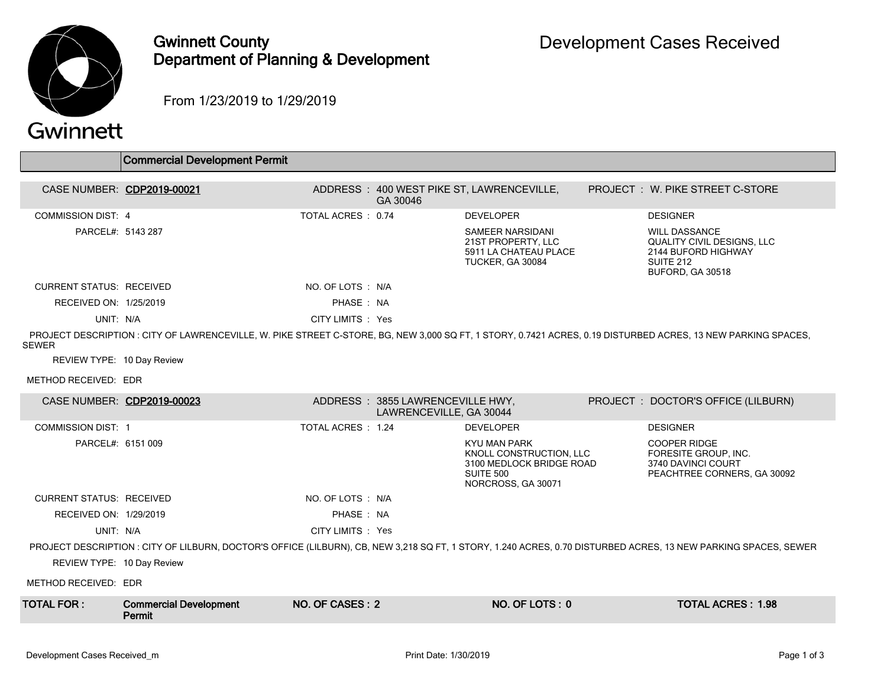

## Gwinnett County Department of Planning & Development

From 1/23/2019 to 1/29/2019

# Gwinnett

|                                 | <b>Commercial Development Permit</b>                                                                                                                         |                   |                                                             |                                                                                                        |                                                                                                                                                                 |
|---------------------------------|--------------------------------------------------------------------------------------------------------------------------------------------------------------|-------------------|-------------------------------------------------------------|--------------------------------------------------------------------------------------------------------|-----------------------------------------------------------------------------------------------------------------------------------------------------------------|
|                                 | CASE NUMBER: CDP2019-00021                                                                                                                                   |                   | GA 30046                                                    | ADDRESS: 400 WEST PIKE ST, LAWRENCEVILLE,                                                              | <b>PROJECT : W. PIKE STREET C-STORE</b>                                                                                                                         |
| <b>COMMISSION DIST: 4</b>       |                                                                                                                                                              | TOTAL ACRES: 0.74 |                                                             | <b>DEVELOPER</b>                                                                                       | <b>DESIGNER</b>                                                                                                                                                 |
| PARCEL#: 5143 287               |                                                                                                                                                              |                   |                                                             | SAMEER NARSIDANI<br>21ST PROPERTY, LLC<br>5911 LA CHATEAU PLACE<br>TUCKER, GA 30084                    | <b>WILL DASSANCE</b><br><b>QUALITY CIVIL DESIGNS, LLC</b><br>2144 BUFORD HIGHWAY<br>SUITE 212<br>BUFORD, GA 30518                                               |
| <b>CURRENT STATUS: RECEIVED</b> |                                                                                                                                                              | NO. OF LOTS : N/A |                                                             |                                                                                                        |                                                                                                                                                                 |
| RECEIVED ON: 1/25/2019          |                                                                                                                                                              | PHASE: NA         |                                                             |                                                                                                        |                                                                                                                                                                 |
| UNIT: N/A                       |                                                                                                                                                              | CITY LIMITS : Yes |                                                             |                                                                                                        |                                                                                                                                                                 |
| <b>SEWER</b>                    | PROJECT DESCRIPTION: CITY OF LAWRENCEVILLE, W. PIKE STREET C-STORE, BG, NEW 3,000 SQ FT, 1 STORY, 0.7421 ACRES, 0.19 DISTURBED ACRES, 13 NEW PARKING SPACES, |                   |                                                             |                                                                                                        |                                                                                                                                                                 |
| REVIEW TYPE: 10 Day Review      |                                                                                                                                                              |                   |                                                             |                                                                                                        |                                                                                                                                                                 |
| METHOD RECEIVED: EDR            |                                                                                                                                                              |                   |                                                             |                                                                                                        |                                                                                                                                                                 |
|                                 | CASE NUMBER: CDP2019-00023                                                                                                                                   |                   | ADDRESS: 3855 LAWRENCEVILLE HWY,<br>LAWRENCEVILLE, GA 30044 |                                                                                                        | PROJECT : DOCTOR'S OFFICE (LILBURN)                                                                                                                             |
| <b>COMMISSION DIST: 1</b>       |                                                                                                                                                              | TOTAL ACRES: 1.24 |                                                             | <b>DEVELOPER</b>                                                                                       | <b>DESIGNER</b>                                                                                                                                                 |
| PARCEL#: 6151 009               |                                                                                                                                                              |                   |                                                             | KYU MAN PARK<br>KNOLL CONSTRUCTION, LLC<br>3100 MEDLOCK BRIDGE ROAD<br>SUITE 500<br>NORCROSS, GA 30071 | <b>COOPER RIDGE</b><br>FORESITE GROUP, INC.<br>3740 DAVINCI COURT<br>PEACHTREE CORNERS, GA 30092                                                                |
| <b>CURRENT STATUS: RECEIVED</b> |                                                                                                                                                              | NO. OF LOTS : N/A |                                                             |                                                                                                        |                                                                                                                                                                 |
| RECEIVED ON: 1/29/2019          |                                                                                                                                                              | PHASE: NA         |                                                             |                                                                                                        |                                                                                                                                                                 |
| UNIT: N/A                       |                                                                                                                                                              | CITY LIMITS : Yes |                                                             |                                                                                                        |                                                                                                                                                                 |
|                                 |                                                                                                                                                              |                   |                                                             |                                                                                                        | PROJECT DESCRIPTION : CITY OF LILBURN, DOCTOR'S OFFICE (LILBURN), CB, NEW 3,218 SQ FT, 1 STORY, 1.240 ACRES, 0.70 DISTURBED ACRES, 13 NEW PARKING SPACES, SEWER |
| REVIEW TYPE: 10 Day Review      |                                                                                                                                                              |                   |                                                             |                                                                                                        |                                                                                                                                                                 |
| METHOD RECEIVED: EDR            |                                                                                                                                                              |                   |                                                             |                                                                                                        |                                                                                                                                                                 |
| <b>TOTAL FOR:</b>               | <b>Commercial Development</b><br>Permit                                                                                                                      | NO. OF CASES: 2   |                                                             | NO. OF LOTS: 0                                                                                         | <b>TOTAL ACRES: 1.98</b>                                                                                                                                        |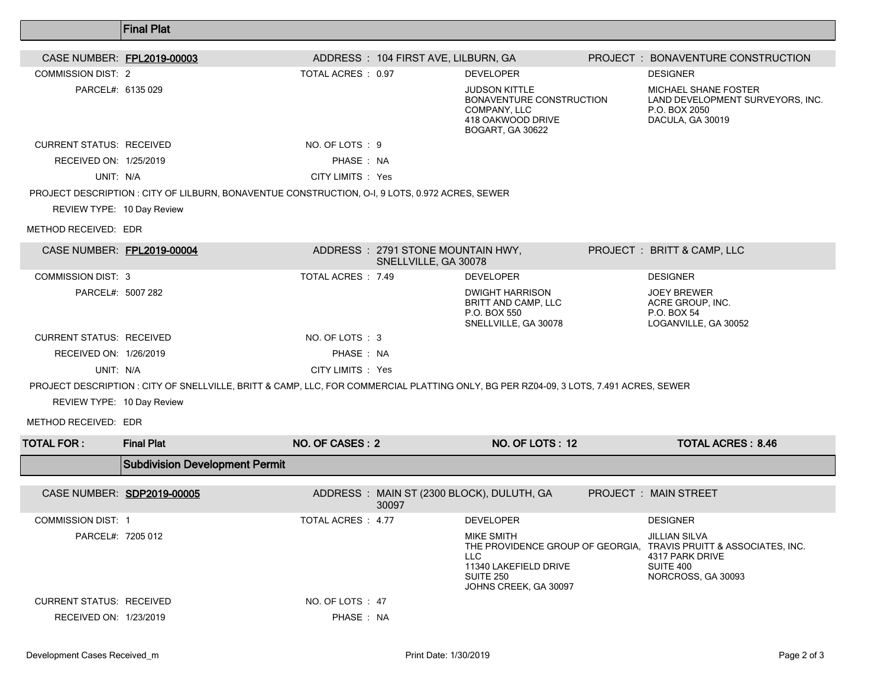|                                 | <b>Final Plat</b>                                                                                                                     |                    |                                                           |                                                                                                           |                                                                                                                                                 |
|---------------------------------|---------------------------------------------------------------------------------------------------------------------------------------|--------------------|-----------------------------------------------------------|-----------------------------------------------------------------------------------------------------------|-------------------------------------------------------------------------------------------------------------------------------------------------|
| CASE NUMBER: FPL2019-00003      |                                                                                                                                       |                    | ADDRESS: 104 FIRST AVE, LILBURN, GA                       |                                                                                                           | PROJECT: BONAVENTURE CONSTRUCTION                                                                                                               |
| <b>COMMISSION DIST: 2</b>       |                                                                                                                                       | TOTAL ACRES : 0.97 |                                                           | <b>DEVELOPER</b>                                                                                          | <b>DESIGNER</b>                                                                                                                                 |
| PARCEL#: 6135 029               |                                                                                                                                       |                    |                                                           | <b>JUDSON KITTLE</b><br>BONAVENTURE CONSTRUCTION<br>COMPANY, LLC<br>418 OAKWOOD DRIVE<br>BOGART, GA 30622 | MICHAEL SHANE FOSTER<br>LAND DEVELOPMENT SURVEYORS, INC.<br>P.O. BOX 2050<br>DACULA, GA 30019                                                   |
| <b>CURRENT STATUS: RECEIVED</b> |                                                                                                                                       | NO. OF LOTS: 9     |                                                           |                                                                                                           |                                                                                                                                                 |
| RECEIVED ON: 1/25/2019          |                                                                                                                                       | PHASE: NA          |                                                           |                                                                                                           |                                                                                                                                                 |
| UNIT: N/A                       |                                                                                                                                       | CITY LIMITS : Yes  |                                                           |                                                                                                           |                                                                                                                                                 |
|                                 | PROJECT DESCRIPTION : CITY OF LILBURN, BONAVENTUE CONSTRUCTION, O-I, 9 LOTS, 0.972 ACRES, SEWER                                       |                    |                                                           |                                                                                                           |                                                                                                                                                 |
| REVIEW TYPE: 10 Day Review      |                                                                                                                                       |                    |                                                           |                                                                                                           |                                                                                                                                                 |
| METHOD RECEIVED: EDR            |                                                                                                                                       |                    |                                                           |                                                                                                           |                                                                                                                                                 |
| CASE NUMBER: FPL2019-00004      |                                                                                                                                       |                    | ADDRESS: 2791 STONE MOUNTAIN HWY,<br>SNELLVILLE, GA 30078 |                                                                                                           | PROJECT : BRITT & CAMP, LLC                                                                                                                     |
| <b>COMMISSION DIST: 3</b>       |                                                                                                                                       | TOTAL ACRES : 7.49 |                                                           | <b>DEVELOPER</b>                                                                                          | <b>DESIGNER</b>                                                                                                                                 |
| PARCEL#: 5007 282               |                                                                                                                                       |                    |                                                           | <b>DWIGHT HARRISON</b><br><b>BRITT AND CAMP, LLC</b><br>P.O. BOX 550<br>SNELLVILLE, GA 30078              | <b>JOEY BREWER</b><br>ACRE GROUP, INC.<br>P.O. BOX 54<br>LOGANVILLE, GA 30052                                                                   |
| <b>CURRENT STATUS: RECEIVED</b> |                                                                                                                                       | NO. OF LOTS : 3    |                                                           |                                                                                                           |                                                                                                                                                 |
| RECEIVED ON: 1/26/2019          |                                                                                                                                       | PHASE : NA         |                                                           |                                                                                                           |                                                                                                                                                 |
| UNIT: N/A                       |                                                                                                                                       | CITY LIMITS : Yes  |                                                           |                                                                                                           |                                                                                                                                                 |
|                                 | PROJECT DESCRIPTION : CITY OF SNELLVILLE, BRITT & CAMP, LLC, FOR COMMERCIAL PLATTING ONLY, BG PER RZ04-09, 3 LOTS, 7.491 ACRES, SEWER |                    |                                                           |                                                                                                           |                                                                                                                                                 |
| REVIEW TYPE: 10 Day Review      |                                                                                                                                       |                    |                                                           |                                                                                                           |                                                                                                                                                 |
| METHOD RECEIVED: EDR            |                                                                                                                                       |                    |                                                           |                                                                                                           |                                                                                                                                                 |
| <b>TOTAL FOR:</b>               | <b>Final Plat</b>                                                                                                                     | NO. OF CASES: 2    |                                                           | NO. OF LOTS: 12                                                                                           | <b>TOTAL ACRES: 8.46</b>                                                                                                                        |
|                                 | <b>Subdivision Development Permit</b>                                                                                                 |                    |                                                           |                                                                                                           |                                                                                                                                                 |
| CASE NUMBER: SDP2019-00005      |                                                                                                                                       |                    | 30097                                                     | ADDRESS: MAIN ST (2300 BLOCK), DULUTH, GA                                                                 | <b>PROJECT : MAIN STREET</b>                                                                                                                    |
| <b>COMMISSION DIST: 1</b>       |                                                                                                                                       | TOTAL ACRES : 4.77 |                                                           | <b>DEVELOPER</b>                                                                                          | <b>DESIGNER</b>                                                                                                                                 |
| PARCEL#: 7205 012               |                                                                                                                                       |                    |                                                           | MIKE SMITH<br>LLC.<br>11340 LAKEFIELD DRIVE<br><b>SUITE 250</b><br>JOHNS CREEK, GA 30097                  | <b>JILLIAN SILVA</b><br>THE PROVIDENCE GROUP OF GEORGIA, TRAVIS PRUITT & ASSOCIATES, INC.<br>4317 PARK DRIVE<br>SUITE 400<br>NORCROSS, GA 30093 |
| <b>CURRENT STATUS: RECEIVED</b> |                                                                                                                                       | NO. OF LOTS : 47   |                                                           |                                                                                                           |                                                                                                                                                 |
| RECEIVED ON: 1/23/2019          |                                                                                                                                       | PHASE: NA          |                                                           |                                                                                                           |                                                                                                                                                 |